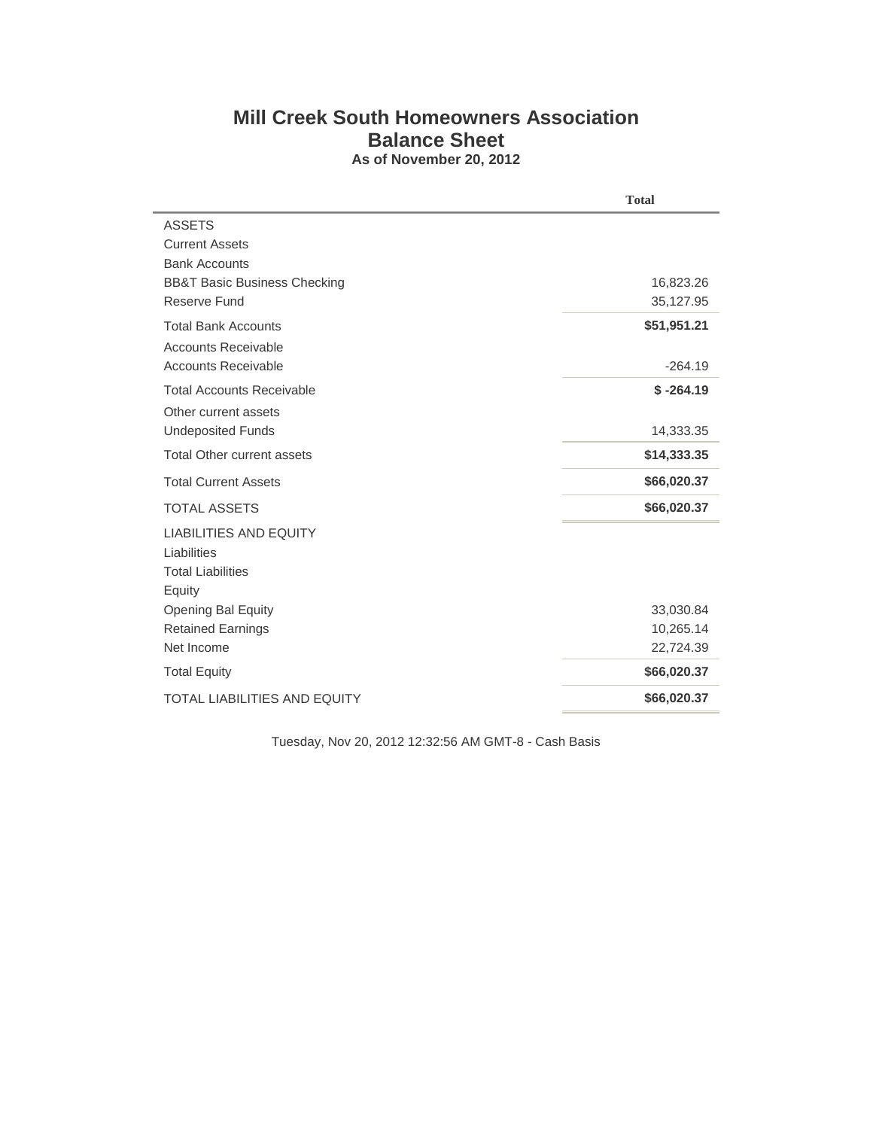## **Mill Creek South Homeowners Association Balance Sheet As of November 20, 2012**

|                                         | <b>Total</b> |  |  |
|-----------------------------------------|--------------|--|--|
| <b>ASSETS</b>                           |              |  |  |
| <b>Current Assets</b>                   |              |  |  |
| <b>Bank Accounts</b>                    |              |  |  |
| <b>BB&amp;T Basic Business Checking</b> | 16,823.26    |  |  |
| Reserve Fund                            | 35,127.95    |  |  |
| <b>Total Bank Accounts</b>              | \$51,951.21  |  |  |
| <b>Accounts Receivable</b>              |              |  |  |
| <b>Accounts Receivable</b>              | $-264.19$    |  |  |
| <b>Total Accounts Receivable</b>        | $$ -264.19$  |  |  |
| Other current assets                    |              |  |  |
| <b>Undeposited Funds</b>                | 14,333.35    |  |  |
| <b>Total Other current assets</b>       | \$14,333.35  |  |  |
| <b>Total Current Assets</b>             | \$66,020.37  |  |  |
| <b>TOTAL ASSETS</b>                     | \$66,020.37  |  |  |
| <b>LIABILITIES AND EQUITY</b>           |              |  |  |
| Liabilities                             |              |  |  |
| <b>Total Liabilities</b>                |              |  |  |
| Equity                                  |              |  |  |
| Opening Bal Equity                      | 33,030.84    |  |  |
| <b>Retained Earnings</b>                | 10,265.14    |  |  |
| Net Income                              | 22,724.39    |  |  |
| <b>Total Equity</b>                     | \$66,020.37  |  |  |
| <b>TOTAL LIABILITIES AND EQUITY</b>     | \$66,020.37  |  |  |

Tuesday, Nov 20, 2012 12:32:56 AM GMT-8 - Cash Basis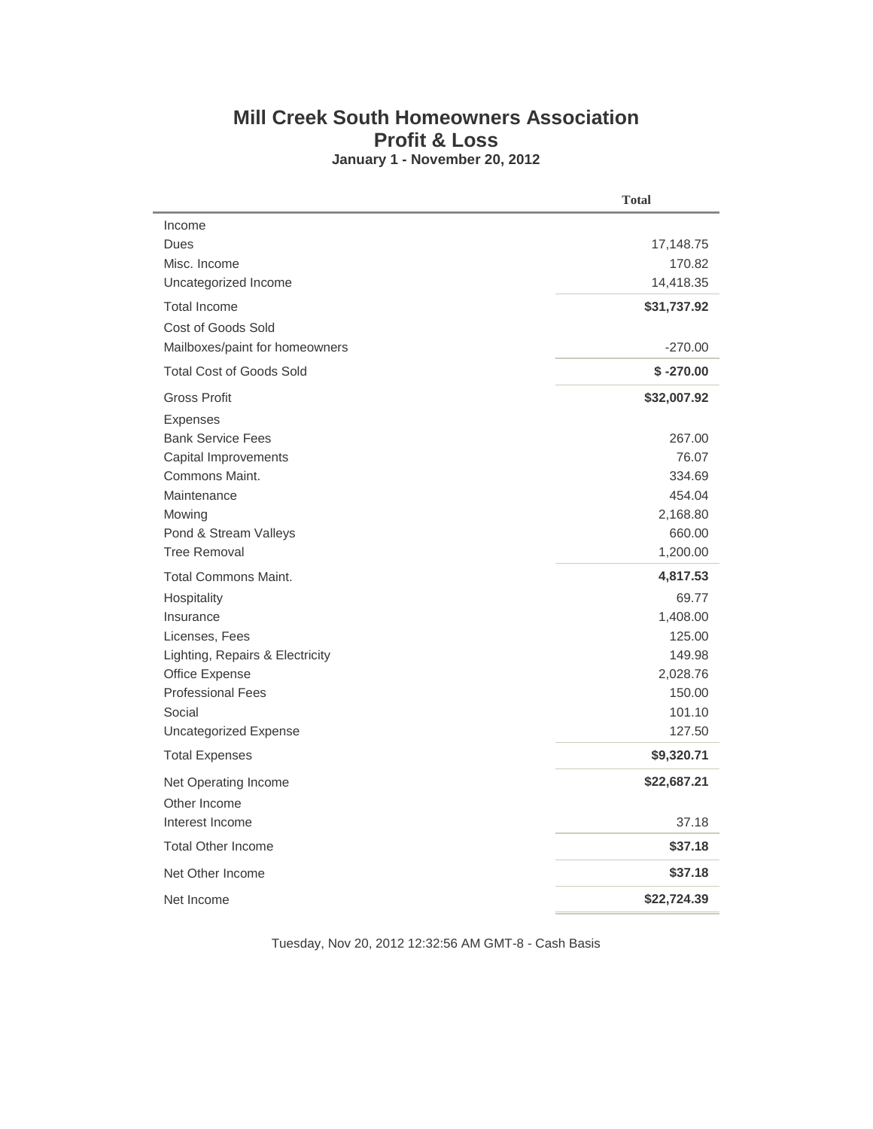## **Mill Creek South Homeowners Association Profit & Loss January 1 - November 20, 2012**

| Income<br>Dues<br>Misc. Income<br>Uncategorized Income<br><b>Total Income</b><br>Cost of Goods Sold | 17,148.75<br>170.82<br>14,418.35 |
|-----------------------------------------------------------------------------------------------------|----------------------------------|
|                                                                                                     |                                  |
|                                                                                                     |                                  |
|                                                                                                     |                                  |
|                                                                                                     |                                  |
|                                                                                                     | \$31,737.92                      |
|                                                                                                     |                                  |
| Mailboxes/paint for homeowners                                                                      | $-270.00$                        |
| <b>Total Cost of Goods Sold</b>                                                                     | $$ -270.00$                      |
| <b>Gross Profit</b>                                                                                 | \$32,007.92                      |
| <b>Expenses</b>                                                                                     |                                  |
| <b>Bank Service Fees</b>                                                                            | 267.00                           |
| Capital Improvements                                                                                | 76.07                            |
| Commons Maint.                                                                                      | 334.69                           |
| Maintenance                                                                                         | 454.04                           |
| Mowing                                                                                              | 2,168.80<br>660.00               |
| Pond & Stream Valleys<br><b>Tree Removal</b>                                                        | 1,200.00                         |
|                                                                                                     |                                  |
| <b>Total Commons Maint.</b>                                                                         | 4,817.53                         |
| Hospitality                                                                                         | 69.77                            |
| Insurance                                                                                           | 1,408.00                         |
| Licenses, Fees<br>Lighting, Repairs & Electricity                                                   | 125.00<br>149.98                 |
| Office Expense                                                                                      | 2,028.76                         |
| <b>Professional Fees</b>                                                                            | 150.00                           |
| Social                                                                                              | 101.10                           |
| <b>Uncategorized Expense</b>                                                                        | 127.50                           |
| <b>Total Expenses</b>                                                                               | \$9,320.71                       |
| Net Operating Income                                                                                | \$22,687.21                      |
| Other Income                                                                                        |                                  |
| Interest Income                                                                                     | 37.18                            |
| <b>Total Other Income</b>                                                                           | \$37.18                          |
| Net Other Income                                                                                    | \$37.18                          |
| Net Income                                                                                          | \$22,724.39                      |

Tuesday, Nov 20, 2012 12:32:56 AM GMT-8 - Cash Basis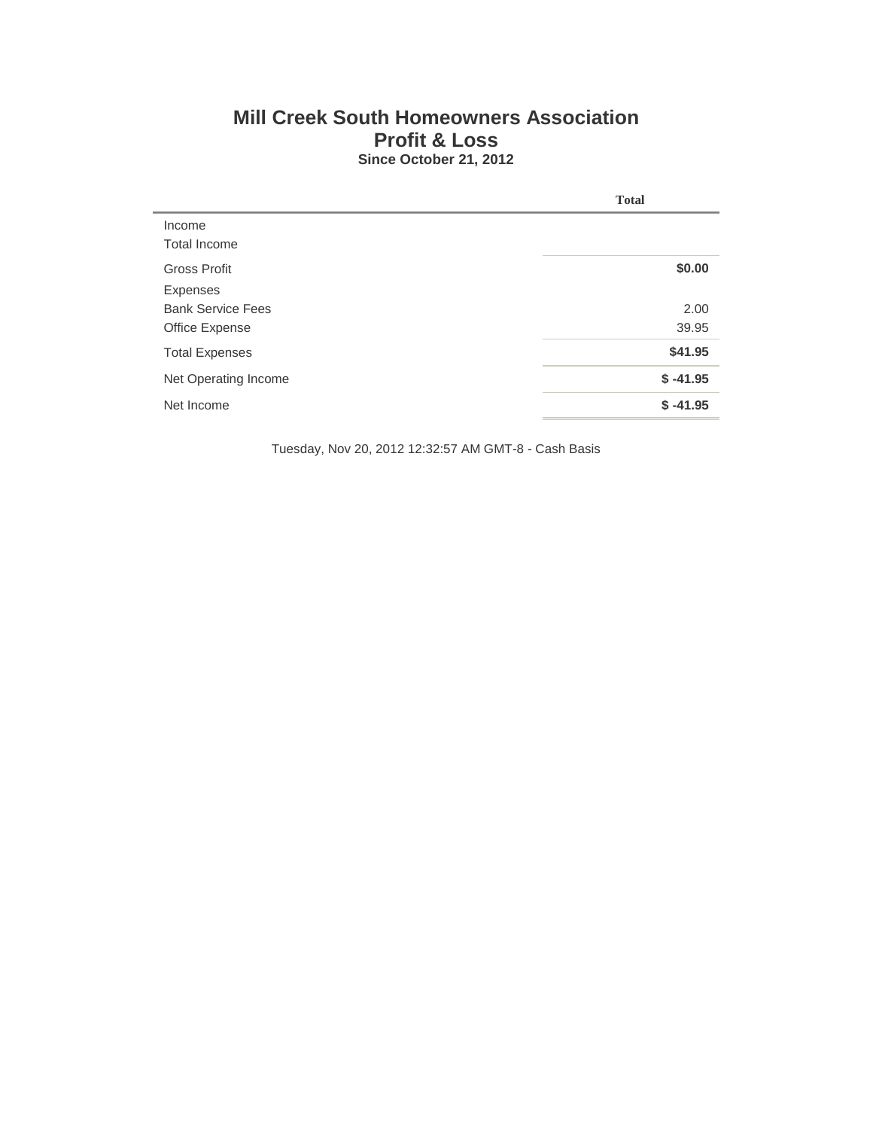## **Mill Creek South Homeowners Association Profit & Loss Since October 21, 2012**

|                          | <b>Total</b> |
|--------------------------|--------------|
| Income                   |              |
| Total Income             |              |
| <b>Gross Profit</b>      | \$0.00       |
| Expenses                 |              |
| <b>Bank Service Fees</b> | 2.00         |
| Office Expense           | 39.95        |
| <b>Total Expenses</b>    | \$41.95      |
| Net Operating Income     | $$ -41.95$   |
| Net Income               | $$ -41.95$   |

Tuesday, Nov 20, 2012 12:32:57 AM GMT-8 - Cash Basis